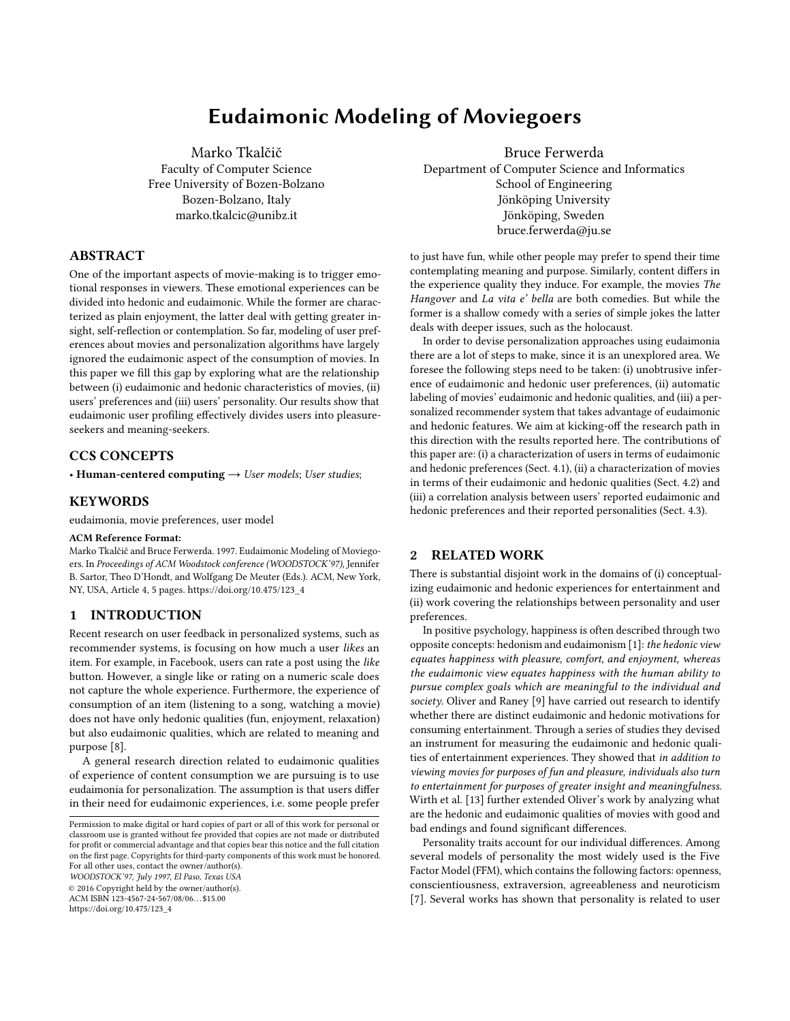# Eudaimonic Modeling of Moviegoers

Marko Tkalčič Faculty of Computer Science Free University of Bozen-Bolzano Bozen-Bolzano, Italy marko.tkalcic@unibz.it

# ABSTRACT

One of the important aspects of movie-making is to trigger emotional responses in viewers. These emotional experiences can be divided into hedonic and eudaimonic. While the former are characterized as plain enjoyment, the latter deal with getting greater insight, self-reflection or contemplation. So far, modeling of user preferences about movies and personalization algorithms have largely ignored the eudaimonic aspect of the consumption of movies. In this paper we fill this gap by exploring what are the relationship between (i) eudaimonic and hedonic characteristics of movies, (ii) users' preferences and (iii) users' personality. Our results show that eudaimonic user profiling effectively divides users into pleasureseekers and meaning-seekers.

## CCS CONCEPTS

• Human-centered computing  $\rightarrow$  User models; User studies;

#### **KEYWORDS**

eudaimonia, movie preferences, user model

#### ACM Reference Format:

Marko Tkalčič and Bruce Ferwerda. 1997. Eudaimonic Modeling of Moviegoers. In Proceedings of ACM Woodstock conference (WOODSTOCK'97), Jennifer B. Sartor, Theo D'Hondt, and Wolfgang De Meuter (Eds.). ACM, New York, NY, USA, Article 4, [5](#page-4-0) pages. [https://doi.org/10.475/123\\_4](https://doi.org/10.475/123_4)

### 1 INTRODUCTION

Recent research on user feedback in personalized systems, such as recommender systems, is focusing on how much a user likes an item. For example, in Facebook, users can rate a post using the like button. However, a single like or rating on a numeric scale does not capture the whole experience. Furthermore, the experience of consumption of an item (listening to a song, watching a movie) does not have only hedonic qualities (fun, enjoyment, relaxation) but also eudaimonic qualities, which are related to meaning and purpose [\[8\]](#page-3-0).

A general research direction related to eudaimonic qualities of experience of content consumption we are pursuing is to use eudaimonia for personalization. The assumption is that users differ in their need for eudaimonic experiences, i.e. some people prefer

WOODSTOCK'97, July 1997, El Paso, Texas USA

© 2016 Copyright held by the owner/author(s). ACM ISBN 123-4567-24-567/08/06. . . \$15.00

[https://doi.org/10.475/123\\_4](https://doi.org/10.475/123_4)

Bruce Ferwerda Department of Computer Science and Informatics School of Engineering Jönköping University Jönköping, Sweden bruce.ferwerda@ju.se

to just have fun, while other people may prefer to spend their time contemplating meaning and purpose. Similarly, content differs in the experience quality they induce. For example, the movies The Hangover and La vita e' bella are both comedies. But while the former is a shallow comedy with a series of simple jokes the latter deals with deeper issues, such as the holocaust.

In order to devise personalization approaches using eudaimonia there are a lot of steps to make, since it is an unexplored area. We foresee the following steps need to be taken: (i) unobtrusive inference of eudaimonic and hedonic user preferences, (ii) automatic labeling of movies' eudaimonic and hedonic qualities, and (iii) a personalized recommender system that takes advantage of eudaimonic and hedonic features. We aim at kicking-off the research path in this direction with the results reported here. The contributions of this paper are: (i) a characterization of users in terms of eudaimonic and hedonic preferences (Sect. [4.1\)](#page-1-0), (ii) a characterization of movies in terms of their eudaimonic and hedonic qualities (Sect. [4.2\)](#page-2-0) and (iii) a correlation analysis between users' reported eudaimonic and hedonic preferences and their reported personalities (Sect. [4.3\)](#page-2-1).

### 2 RELATED WORK

There is substantial disjoint work in the domains of (i) conceptualizing eudaimonic and hedonic experiences for entertainment and (ii) work covering the relationships between personality and user preferences.

In positive psychology, happiness is often described through two opposite concepts: hedonism and eudaimonism [\[1\]](#page-3-1): the hedonic view equates happiness with pleasure, comfort, and enjoyment, whereas the eudaimonic view equates happiness with the human ability to pursue complex goals which are meaningful to the individual and society. Oliver and Raney [\[9\]](#page-3-2) have carried out research to identify whether there are distinct eudaimonic and hedonic motivations for consuming entertainment. Through a series of studies they devised an instrument for measuring the eudaimonic and hedonic qualities of entertainment experiences. They showed that in addition to viewing movies for purposes of fun and pleasure, individuals also turn to entertainment for purposes of greater insight and meaningfulness. Wirth et al. [\[13\]](#page-4-1) further extended Oliver's work by analyzing what are the hedonic and eudaimonic qualities of movies with good and bad endings and found significant differences.

Personality traits account for our individual differences. Among several models of personality the most widely used is the Five Factor Model (FFM), which contains the following factors: openness, conscientiousness, extraversion, agreeableness and neuroticism [\[7\]](#page-3-3). Several works has shown that personality is related to user

Permission to make digital or hard copies of part or all of this work for personal or classroom use is granted without fee provided that copies are not made or distributed for profit or commercial advantage and that copies bear this notice and the full citation on the first page. Copyrights for third-party components of this work must be honored. For all other uses, contact the owner/author(s).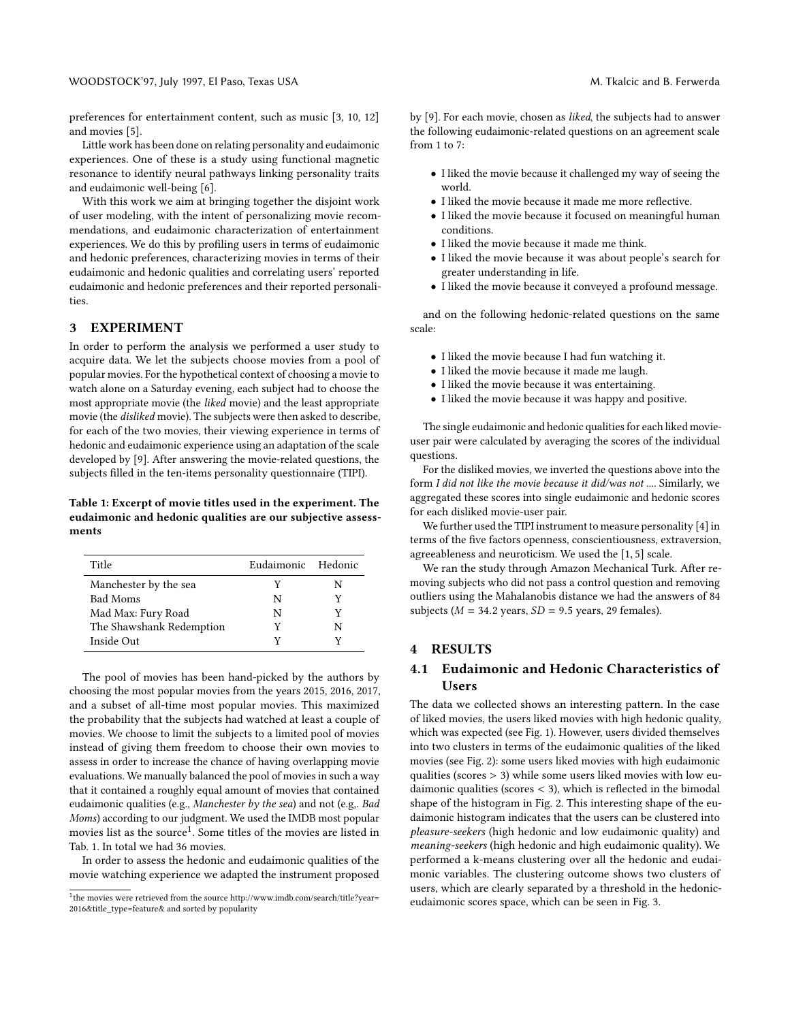WOODSTOCK'97, July 1997, El Paso, Texas USA M. Tkalcic and B. Ferwerda

preferences for entertainment content, such as music [\[3,](#page-3-4) [10,](#page-3-5) [12\]](#page-3-6) and movies [\[5\]](#page-3-7).

Little work has been done on relating personality and eudaimonic experiences. One of these is a study using functional magnetic resonance to identify neural pathways linking personality traits and eudaimonic well-being [\[6\]](#page-3-8).

With this work we aim at bringing together the disjoint work of user modeling, with the intent of personalizing movie recommendations, and eudaimonic characterization of entertainment experiences. We do this by profiling users in terms of eudaimonic and hedonic preferences, characterizing movies in terms of their eudaimonic and hedonic qualities and correlating users' reported eudaimonic and hedonic preferences and their reported personalities.

# <span id="page-1-3"></span>3 EXPERIMENT

In order to perform the analysis we performed a user study to acquire data. We let the subjects choose movies from a pool of popular movies. For the hypothetical context of choosing a movie to watch alone on a Saturday evening, each subject had to choose the most appropriate movie (the liked movie) and the least appropriate movie (the disliked movie). The subjects were then asked to describe, for each of the two movies, their viewing experience in terms of hedonic and eudaimonic experience using an adaptation of the scale developed by [\[9\]](#page-3-2). After answering the movie-related questions, the subjects filled in the ten-items personality questionnaire (TIPI).

<span id="page-1-2"></span>Table 1: Excerpt of movie titles used in the experiment. The eudaimonic and hedonic qualities are our subjective assessments

| Title                    | Eudaimonic Hedonic |   |
|--------------------------|--------------------|---|
| Manchester by the sea    |                    | N |
| Bad Moms                 | N                  |   |
| Mad Max: Fury Road       | N                  |   |
| The Shawshank Redemption |                    | N |
| Inside Out               |                    |   |

The pool of movies has been hand-picked by the authors by choosing the most popular movies from the years 2015, 2016, 2017, and a subset of all-time most popular movies. This maximized the probability that the subjects had watched at least a couple of movies. We choose to limit the subjects to a limited pool of movies instead of giving them freedom to choose their own movies to assess in order to increase the chance of having overlapping movie evaluations. We manually balanced the pool of movies in such a way that it contained a roughly equal amount of movies that contained eudaimonic qualities (e.g., Manchester by the sea) and not (e.g,. Bad Moms) according to our judgment. We used the IMDB most popular movies list as the source $^1$  $^1$ . Some titles of the movies are listed in Tab. [1.](#page-1-2) In total we had 36 movies.

In order to assess the hedonic and eudaimonic qualities of the movie watching experience we adapted the instrument proposed

by [\[9\]](#page-3-2). For each movie, chosen as liked, the subjects had to answer the following eudaimonic-related questions on an agreement scale from 1 to 7:

- I liked the movie because it challenged my way of seeing the world.
- I liked the movie because it made me more reflective.
- I liked the movie because it focused on meaningful human conditions.
- I liked the movie because it made me think.
- I liked the movie because it was about people's search for greater understanding in life.
- I liked the movie because it conveyed a profound message.

and on the following hedonic-related questions on the same scale:

- I liked the movie because I had fun watching it.
- I liked the movie because it made me laugh.
- I liked the movie because it was entertaining.
- I liked the movie because it was happy and positive.

The single eudaimonic and hedonic qualities for each liked movieuser pair were calculated by averaging the scores of the individual questions.

For the disliked movies, we inverted the questions above into the form I did not like the movie because it did/was not .... Similarly, we aggregated these scores into single eudaimonic and hedonic scores for each disliked movie-user pair.

We further used the TIPI instrument to measure personality [\[4\]](#page-3-9) in terms of the five factors openness, conscientiousness, extraversion, agreeableness and neuroticism. We used the [1, <sup>5</sup>] scale.

We ran the study through Amazon Mechanical Turk. After removing subjects who did not pass a control question and removing outliers using the Mahalanobis distance we had the answers of 84 subjects ( $M = 34.2$  years,  $SD = 9.5$  years, 29 females).

# 4 RESULTS

# <span id="page-1-0"></span>4.1 Eudaimonic and Hedonic Characteristics of Users

The data we collected shows an interesting pattern. In the case of liked movies, the users liked movies with high hedonic quality, which was expected (see Fig. [1\)](#page-2-2). However, users divided themselves into two clusters in terms of the eudaimonic qualities of the liked movies (see Fig. [2\)](#page-2-3): some users liked movies with high eudaimonic qualities (scores > 3) while some users liked movies with low eudaimonic qualities (scores < 3), which is reflected in the bimodal shape of the histogram in Fig. [2.](#page-2-3) This interesting shape of the eudaimonic histogram indicates that the users can be clustered into pleasure-seekers (high hedonic and low eudaimonic quality) and meaning-seekers (high hedonic and high eudaimonic quality). We performed a k-means clustering over all the hedonic and eudaimonic variables. The clustering outcome shows two clusters of users, which are clearly separated by a threshold in the hedoniceudaimonic scores space, which can be seen in Fig. [3.](#page-2-4)

<span id="page-1-1"></span><sup>&</sup>lt;sup>1</sup>the movies were retrieved from the source [http://www.imdb.com/search/title?year=](http://www.imdb.com/search/title?year=2016&title_type=feature&) [2016&title\\_type=feature&](http://www.imdb.com/search/title?year=2016&title_type=feature&) and sorted by popularity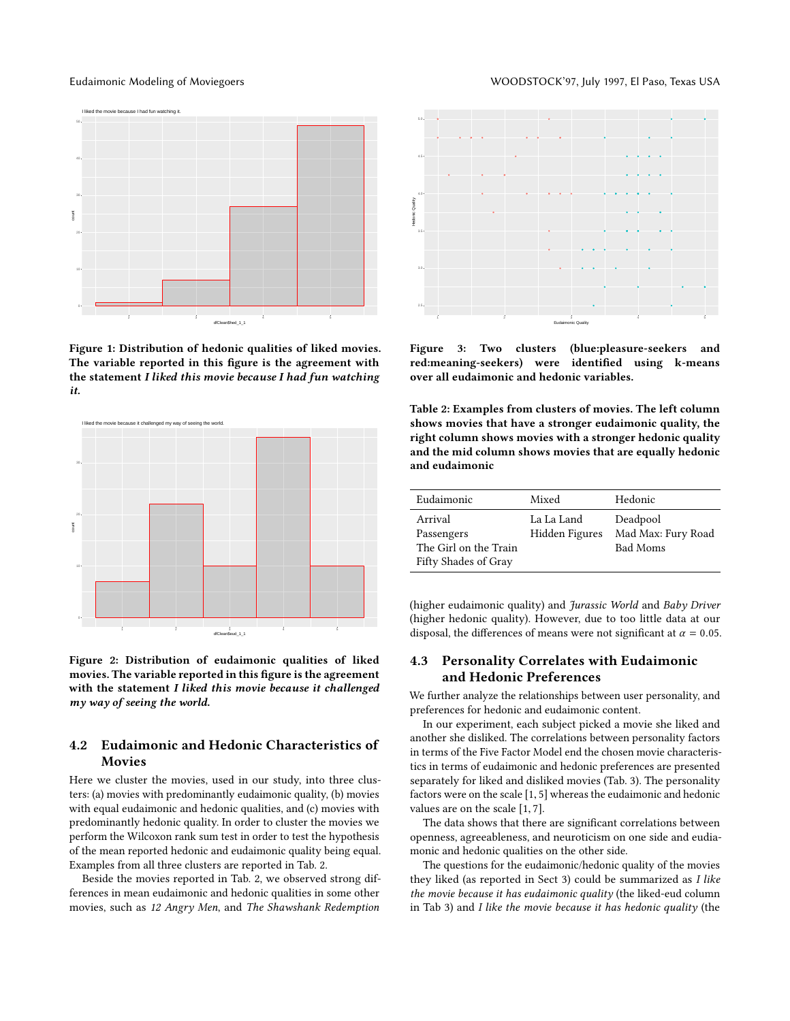#### Eudaimonic Modeling of Moviegoers WOODSTOCK'97, July 1997, El Paso, Texas USA

<span id="page-2-2"></span>

Figure 1: Distribution of hedonic qualities of liked movies. The variable reported in this figure is the agreement with the statement I liked this movie because I had fun watching it.

<span id="page-2-3"></span>

Figure 2: Distribution of eudaimonic qualities of liked movies. The variable reported in this figure is the agreement with the statement I liked this movie because it challenged my way of seeing the world.

# <span id="page-2-0"></span>4.2 Eudaimonic and Hedonic Characteristics of Movies

Here we cluster the movies, used in our study, into three clusters: (a) movies with predominantly eudaimonic quality, (b) movies with equal eudaimonic and hedonic qualities, and (c) movies with predominantly hedonic quality. In order to cluster the movies we perform the Wilcoxon rank sum test in order to test the hypothesis of the mean reported hedonic and eudaimonic quality being equal. Examples from all three clusters are reported in Tab. [2.](#page-2-5)

Beside the movies reported in Tab. [2,](#page-2-5) we observed strong differences in mean eudaimonic and hedonic qualities in some other movies, such as 12 Angry Men, and The Shawshank Redemption

<span id="page-2-4"></span>

Figure 3: Two clusters (blue:pleasure-seekers and red:meaning-seekers) were identified using k-means over all eudaimonic and hedonic variables.

<span id="page-2-5"></span>Table 2: Examples from clusters of movies. The left column shows movies that have a stronger eudaimonic quality, the right column shows movies with a stronger hedonic quality and the mid column shows movies that are equally hedonic and eudaimonic

| Eudaimonic                                                             | Mixed                        | Hedonic                                    |
|------------------------------------------------------------------------|------------------------------|--------------------------------------------|
| Arrival<br>Passengers<br>The Girl on the Train<br>Fifty Shades of Gray | La La Land<br>Hidden Figures | Deadpool<br>Mad Max: Fury Road<br>Bad Moms |

(higher eudaimonic quality) and Jurassic World and Baby Driver (higher hedonic quality). However, due to too little data at our disposal, the differences of means were not significant at  $\alpha = 0.05$ .

# <span id="page-2-1"></span>4.3 Personality Correlates with Eudaimonic and Hedonic Preferences

We further analyze the relationships between user personality, and preferences for hedonic and eudaimonic content.

In our experiment, each subject picked a movie she liked and another she disliked. The correlations between personality factors in terms of the Five Factor Model end the chosen movie characteristics in terms of eudaimonic and hedonic preferences are presented separately for liked and disliked movies (Tab. [3\)](#page-3-10). The personality factors were on the scale [1, <sup>5</sup>] whereas the eudaimonic and hedonic values are on the scale [1, <sup>7</sup>].

The data shows that there are significant correlations between openness, agreeableness, and neuroticism on one side and eudiamonic and hedonic qualities on the other side.

The questions for the eudaimonic/hedonic quality of the movies they liked (as reported in Sect [3\)](#page-1-3) could be summarized as I like the movie because it has eudaimonic quality (the liked-eud column in Tab [3\)](#page-3-10) and I like the movie because it has hedonic quality (the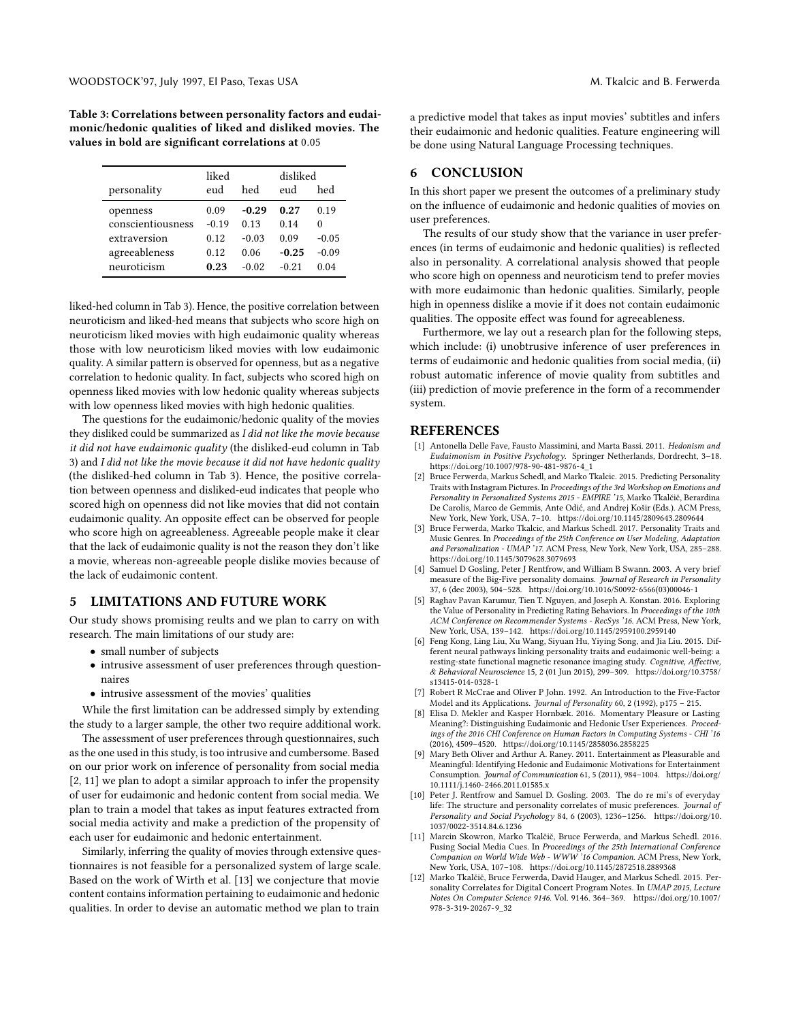<span id="page-3-10"></span>Table 3: Correlations between personality factors and eudaimonic/hedonic qualities of liked and disliked movies. The values in bold are significant correlations at <sup>0</sup>.<sup>05</sup>

|                   | liked |         | disliked |         |
|-------------------|-------|---------|----------|---------|
| personality       | eud   | hed     | eud      | hed     |
| openness          | 0.09  | -0.29   | 0.27     | 0.19    |
| conscientiousness | -0.19 | 0.13    | 0.14     | 0       |
| extraversion      | 0.12  | $-0.03$ | 0.09     | $-0.05$ |
| agreeableness     | 0.12  | 0.06    | $-0.25$  | $-0.09$ |
| neuroticism       | 0.23  | $-0.02$ | $-0.21$  | 0.04    |

liked-hed column in Tab [3\)](#page-3-10). Hence, the positive correlation between neuroticism and liked-hed means that subjects who score high on neuroticism liked movies with high eudaimonic quality whereas those with low neuroticism liked movies with low eudaimonic quality. A similar pattern is observed for openness, but as a negative correlation to hedonic quality. In fact, subjects who scored high on openness liked movies with low hedonic quality whereas subjects with low openness liked movies with high hedonic qualities.

The questions for the eudaimonic/hedonic quality of the movies they disliked could be summarized as I did not like the movie because it did not have eudaimonic quality (the disliked-eud column in Tab [3\)](#page-3-10) and I did not like the movie because it did not have hedonic quality (the disliked-hed column in Tab [3\)](#page-3-10). Hence, the positive correlation between openness and disliked-eud indicates that people who scored high on openness did not like movies that did not contain eudaimonic quality. An opposite effect can be observed for people who score high on agreeableness. Agreeable people make it clear that the lack of eudaimonic quality is not the reason they don't like a movie, whereas non-agreeable people dislike movies because of the lack of eudaimonic content.

# 5 LIMITATIONS AND FUTURE WORK

Our study shows promising reults and we plan to carry on with research. The main limitations of our study are:

- small number of subjects
- intrusive assessment of user preferences through questionnaires
- intrusive assessment of the movies' qualities

While the first limitation can be addressed simply by extending the study to a larger sample, the other two require additional work.

The assessment of user preferences through questionnaires, such as the one used in this study, is too intrusive and cumbersome. Based on our prior work on inference of personality from social media [\[2,](#page-3-11) [11\]](#page-3-12) we plan to adopt a similar approach to infer the propensity of user for eudaimonic and hedonic content from social media. We plan to train a model that takes as input features extracted from social media activity and make a prediction of the propensity of each user for eudaimonic and hedonic entertainment.

Similarly, inferring the quality of movies through extensive questionnaires is not feasible for a personalized system of large scale. Based on the work of Wirth et al. [\[13\]](#page-4-1) we conjecture that movie content contains information pertaining to eudaimonic and hedonic qualities. In order to devise an automatic method we plan to train

a predictive model that takes as input movies' subtitles and infers their eudaimonic and hedonic qualities. Feature engineering will be done using Natural Language Processing techniques.

#### 6 CONCLUSION

In this short paper we present the outcomes of a preliminary study on the influence of eudaimonic and hedonic qualities of movies on user preferences.

The results of our study show that the variance in user preferences (in terms of eudaimonic and hedonic qualities) is reflected also in personality. A correlational analysis showed that people who score high on openness and neuroticism tend to prefer movies with more eudaimonic than hedonic qualities. Similarly, people high in openness dislike a movie if it does not contain eudaimonic qualities. The opposite effect was found for agreeableness.

Furthermore, we lay out a research plan for the following steps, which include: (i) unobtrusive inference of user preferences in terms of eudaimonic and hedonic qualities from social media, (ii) robust automatic inference of movie quality from subtitles and (iii) prediction of movie preference in the form of a recommender system.

#### REFERENCES

- <span id="page-3-1"></span>[1] Antonella Delle Fave, Fausto Massimini, and Marta Bassi. 2011. Hedonism and Eudaimonism in Positive Psychology. Springer Netherlands, Dordrecht, 3–18. [https://doi.org/10.1007/978-90-481-9876-4\\_1](https://doi.org/10.1007/978-90-481-9876-4_1)
- <span id="page-3-11"></span>[2] Bruce Ferwerda, Markus Schedl, and Marko Tkalcic. 2015. Predicting Personality Traits with Instagram Pictures. In Proceedings of the 3rd Workshop on Emotions and Personality in Personalized Systems 2015 - EMPIRE '15, Marko Tkalčič, Berardina De Carolis, Marco de Gemmis, Ante Odić, and Andrej Košir (Eds.). ACM Press, New York, New York, USA, 7–10.<https://doi.org/10.1145/2809643.2809644>
- <span id="page-3-4"></span>[3] Bruce Ferwerda, Marko Tkalcic, and Markus Schedl. 2017. Personality Traits and Music Genres. In Proceedings of the 25th Conference on User Modeling, Adaptation and Personalization - UMAP '17. ACM Press, New York, New York, USA, 285–288. <https://doi.org/10.1145/3079628.3079693>
- <span id="page-3-9"></span>[4] Samuel D Gosling, Peter J Rentfrow, and William B Swann. 2003. A very brief measure of the Big-Five personality domains. *Journal of Research in Personality*<br>37, 6 (dec 2003), 504–528. https://doi.org/10.1016/S0092-6566(03)00046-1
- <span id="page-3-7"></span>[5] Raghav Pavan Karumur, Tien T. Nguyen, and Joseph A. Konstan. 2016. Exploring the Value of Personality in Predicting Rating Behaviors. In Proceedings of the 10th ACM Conference on Recommender Systems - RecSys '16. ACM Press, New York, New York, USA, 139–142.<https://doi.org/10.1145/2959100.2959140>
- <span id="page-3-8"></span>[6] Feng Kong, Ling Liu, Xu Wang, Siyuan Hu, Yiying Song, and Jia Liu. 2015. Different neural pathways linking personality traits and eudaimonic well-being: a resting-state functional magnetic resonance imaging study. Cognitive, Affective, & Behavioral Neuroscience 15, 2 (01 Jun 2015), 299–309. [https://doi.org/10.3758/](https://doi.org/10.3758/s13415-014-0328-1) [s13415-014-0328-1](https://doi.org/10.3758/s13415-014-0328-1)
- <span id="page-3-3"></span>[7] Robert R McCrae and Oliver P John. 1992. An Introduction to the Five-Factor Model and its Applications. Journal of Personality 60, 2 (1992), p175 – 215.
- <span id="page-3-0"></span>[8] Elisa D. Mekler and Kasper Hornbæk. 2016. Momentary Pleasure or Lasting Meaning?: Distinguishing Eudaimonic and Hedonic User Experiences. Proceedings of the 2016 CHI Conference on Human Factors in Computing Systems - CHI '16 (2016), 4509–4520.<https://doi.org/10.1145/2858036.2858225>
- <span id="page-3-2"></span>[9] Mary Beth Oliver and Arthur A. Raney. 2011. Entertainment as Pleasurable and Meaningful: Identifying Hedonic and Eudaimonic Motivations for Entertainment Consumption. Journal of Communication 61, 5 (2011), 984–1004. [https://doi.org/](https://doi.org/10.1111/j.1460-2466.2011.01585.x) [10.1111/j.1460-2466.2011.01585.x](https://doi.org/10.1111/j.1460-2466.2011.01585.x)
- <span id="page-3-5"></span>[10] Peter J. Rentfrow and Samuel D. Gosling. 2003. The do re mi's of everyday life: The structure and personality correlates of music preferences. Journal of Personality and Social Psychology 84, 6 (2003), 1236-1256. [https://doi.org/10.](https://doi.org/10.1037/0022-3514.84.6.1236) [1037/0022-3514.84.6.1236](https://doi.org/10.1037/0022-3514.84.6.1236)
- <span id="page-3-12"></span>[11] Marcin Skowron, Marko Tkalčič, Bruce Ferwerda, and Markus Schedl. 2016. Fusing Social Media Cues. In Proceedings of the 25th International Conference Companion on World Wide Web - WWW '16 Companion. ACM Press, New York, New York, USA, 107–108.<https://doi.org/10.1145/2872518.2889368>
- <span id="page-3-6"></span>[12] Marko Tkalčič, Bruce Ferwerda, David Hauger, and Markus Schedl. 2015. Personality Correlates for Digital Concert Program Notes. In UMAP 2015, Lecture Notes On Computer Science 9146. Vol. 9146. 364–369. [https://doi.org/10.1007/](https://doi.org/10.1007/978-3-319-20267-9_32) [978-3-319-20267-9\\_32](https://doi.org/10.1007/978-3-319-20267-9_32)